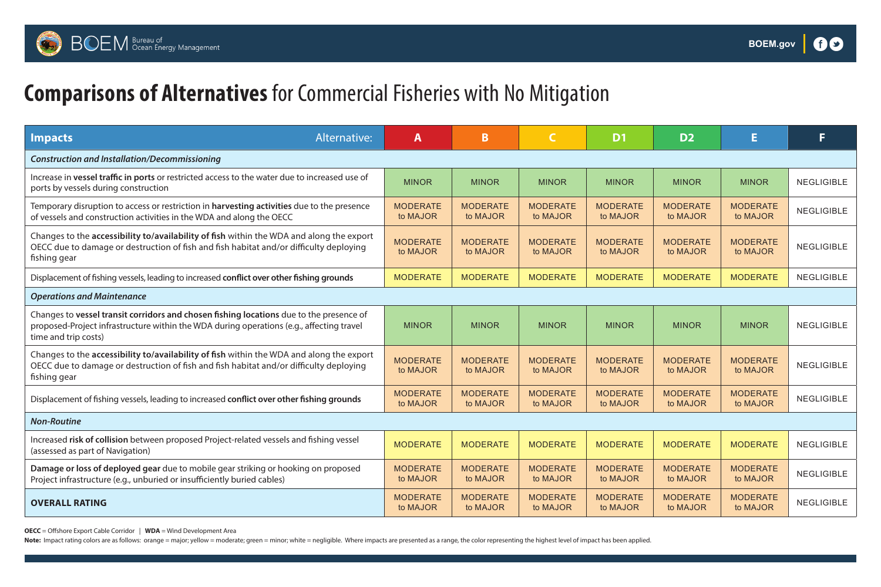

# **BOEM** Bureau of Crean Energy Management

# **Comparisons of Alternatives** for Commercial Fisheries with No Mitigation

## **OVERALL RATING**

**OECC** = Offshore Export Cable Corridor | **WDA** = Wind Development Area Note: Impact rating colors are as follows: orange = major; yellow = moderate; green = minor; white = negligible. Where impacts are presented as a range, the color representing the highest level of impact has been applied.

| Alternative:<br><b>Impacts</b>                                                                                                                                                                              | A                           | B                           |                             | D <sub>1</sub>              | D <sub>2</sub>              |                             |            |
|-------------------------------------------------------------------------------------------------------------------------------------------------------------------------------------------------------------|-----------------------------|-----------------------------|-----------------------------|-----------------------------|-----------------------------|-----------------------------|------------|
| <b>Construction and Installation/Decommissioning</b>                                                                                                                                                        |                             |                             |                             |                             |                             |                             |            |
| Increase in vessel traffic in ports or restricted access to the water due to increased use of<br>ports by vessels during construction                                                                       |                             | <b>MINOR</b>                | <b>MINOR</b>                | <b>MINOR</b>                | <b>MINOR</b>                | <b>MINOR</b>                | NEGLIGIBLE |
| Temporary disruption to access or restriction in <b>harvesting activities</b> due to the presence<br>of vessels and construction activities in the WDA and along the OECC                                   |                             | <b>MODERATE</b><br>to MAJOR | <b>MODERATE</b><br>to MAJOR | <b>MODERATE</b><br>to MAJOR | <b>MODERATE</b><br>to MAJOR | <b>MODERATE</b><br>to MAJOR | NEGLIGIBLE |
| Changes to the accessibility to/availability of fish within the WDA and along the export<br>OECC due to damage or destruction of fish and fish habitat and/or difficulty deploying<br>fishing gear          | <b>MODERATE</b><br>to MAJOR | <b>MODERATE</b><br>to MAJOR | <b>MODERATE</b><br>to MAJOR | <b>MODERATE</b><br>to MAJOR | <b>MODERATE</b><br>to MAJOR | <b>MODERATE</b><br>to MAJOR | NEGLIGIBLE |
| Displacement of fishing vessels, leading to increased conflict over other fishing grounds                                                                                                                   | <b>MODERATE</b>             | <b>MODERATE</b>             | <b>MODERATE</b>             | <b>MODERATE</b>             | <b>MODERATE</b>             | <b>MODERATE</b>             | NEGLIGIBLE |
| <b>Operations and Maintenance</b>                                                                                                                                                                           |                             |                             |                             |                             |                             |                             |            |
| Changes to vessel transit corridors and chosen fishing locations due to the presence of<br>proposed-Project infrastructure within the WDA during operations (e.g., affecting travel<br>time and trip costs) | <b>MINOR</b>                | <b>MINOR</b>                | <b>MINOR</b>                | <b>MINOR</b>                | <b>MINOR</b>                | <b>MINOR</b>                | NEGLIGIBLE |
| Changes to the accessibility to/availability of fish within the WDA and along the export<br>OECC due to damage or destruction of fish and fish habitat and/or difficulty deploying<br>fishing gear          | <b>MODERATE</b><br>to MAJOR | <b>MODERATE</b><br>to MAJOR | <b>MODERATE</b><br>to MAJOR | <b>MODERATE</b><br>to MAJOR | <b>MODERATE</b><br>to MAJOR | <b>MODERATE</b><br>to MAJOR | NEGLIGIBLE |
| Displacement of fishing vessels, leading to increased conflict over other fishing grounds                                                                                                                   | <b>MODERATE</b><br>to MAJOR | <b>MODERATE</b><br>to MAJOR | <b>MODERATE</b><br>to MAJOR | <b>MODERATE</b><br>to MAJOR | <b>MODERATE</b><br>to MAJOR | <b>MODERATE</b><br>to MAJOR | NEGLIGIBLE |
| <b>Non-Routine</b>                                                                                                                                                                                          |                             |                             |                             |                             |                             |                             |            |
| Increased risk of collision between proposed Project-related vessels and fishing vessel<br>(assessed as part of Navigation)                                                                                 | <b>MODERATE</b>             | <b>MODERATE</b>             | <b>MODERATE</b>             | <b>MODERATE</b>             | <b>MODERATE</b>             | <b>MODERATE</b>             | NEGLIGIBLE |
| Damage or loss of deployed gear due to mobile gear striking or hooking on proposed<br>Project infrastructure (e.g., unburied or insufficiently buried cables)                                               | <b>MODERATE</b><br>to MAJOR | <b>MODERATE</b><br>to MAJOR | <b>MODERATE</b><br>to MAJOR | <b>MODERATE</b><br>to MAJOR | <b>MODERATE</b><br>to MAJOR | <b>MODERATE</b><br>to MAJOR | NEGLIGIBLE |
| <b>OVERALL RATING</b>                                                                                                                                                                                       | <b>MODERATE</b><br>to MAJOR | <b>MODERATE</b><br>to MAJOR | <b>MODERATE</b><br>to MAJOR | <b>MODERATE</b><br>to MAJOR | <b>MODERATE</b><br>to MAJOR | <b>MODERATE</b><br>to MAJOR | NEGLIGIBLE |

### *Non-Routine*